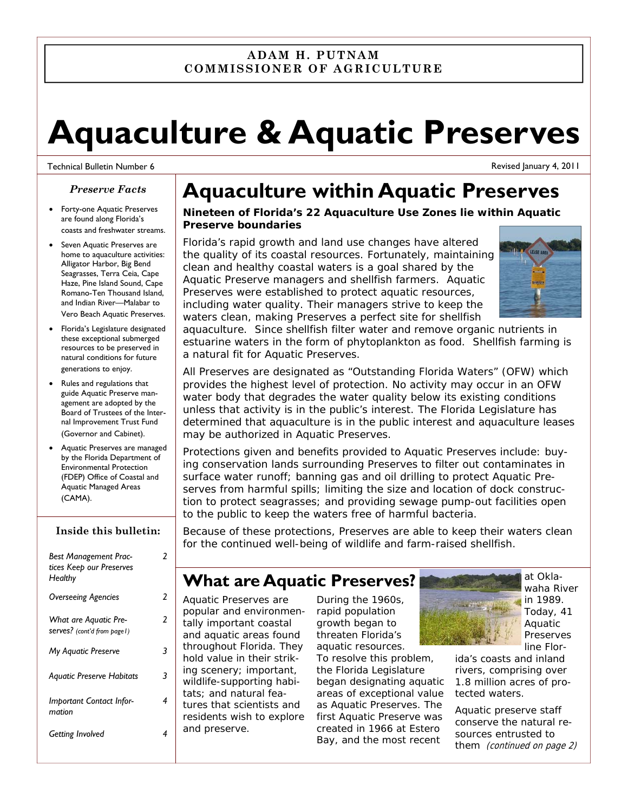#### **ADAM H. PUTNAM COMMISSIONER OF AGRICULTURE**

# **Aquaculture & Aquatic Preserves**

#### Technical Bulletin Number 6

#### *Preserve Facts*

- Forty-one Aquatic Preserves are found along Florida's coasts and freshwater streams.
- Seven Aquatic Preserves are home to aquaculture activities: Alligator Harbor, Big Bend Seagrasses, Terra Ceia, Cape Haze, Pine Island Sound, Cape Romano-Ten Thousand Island, and Indian River—Malabar to Vero Beach Aquatic Preserves.
- Florida's Legislature designated these exceptional submerged resources to be preserved in natural conditions for future generations to enjoy.
- Rules and regulations that guide Aquatic Preserve management are adopted by the Board of Trustees of the Internal Improvement Trust Fund (Governor and Cabinet).
- Aquatic Preserves are managed by the Florida Department of Environmental Protection (FDEP) Office of Coastal and Aquatic Managed Areas (CAMA).

#### **Inside this bulletin:**

| <b>Best Management Prac-</b><br>tices Keep our Preserves<br>Healthy | 2 |
|---------------------------------------------------------------------|---|
| <b>Overseeing Agencies</b>                                          | 2 |
| What are Aquatic Pre-<br>Serves? (cont'd from page1)                | 2 |
| <b>My Aquatic Preserve</b>                                          | 3 |
| <b>Aquatic Preserve Habitats</b>                                    | 3 |
| Important Contact Infor-<br>mation                                  | 4 |
| Getting Involved                                                    |   |

## **Aquaculture within Aquatic Preserves**

#### *Nineteen of Florida's 22 Aquaculture Use Zones lie within Aquatic Preserve boundaries*

Florida's rapid growth and land use changes have altered the quality of its coastal resources. Fortunately, maintaining clean and healthy coastal waters is a goal shared by the Aquatic Preserve managers and shellfish farmers. Aquatic Preserves were established to protect aquatic resources, including water quality. Their managers strive to keep the waters clean, making Preserves a perfect site for shellfish

Revised January 4, 2011

aquaculture. Since shellfish filter water and remove organic nutrients in estuarine waters in the form of phytoplankton as food. Shellfish farming is a natural fit for Aquatic Preserves.

All Preserves are designated as "Outstanding Florida Waters" (OFW) which provides the highest level of protection. No activity may occur in an OFW water body that degrades the water quality below its existing conditions unless that activity is in the public's interest. The Florida Legislature has determined that aquaculture is in the public interest and aquaculture leases may be authorized in Aquatic Preserves.

Protections given and benefits provided to Aquatic Preserves include: buying conservation lands surrounding Preserves to filter out contaminates in surface water runoff; banning gas and oil drilling to protect Aquatic Preserves from harmful spills; limiting the size and location of dock construction to protect seagrasses; and providing sewage pump-out facilities open to the public to keep the waters free of harmful bacteria.

Because of these protections, Preserves are able to keep their waters clean for the continued well-being of wildlife and farm-raised shellfish.

### **What are Aquatic Preserves?**

Aquatic Preserves are popular and environmentally important coastal and aquatic areas found throughout Florida. They hold value in their striking scenery; important, wildlife-supporting habitats; and natural features that scientists and residents wish to explore and preserve.

During the 1960s, rapid population growth began to threaten Florida's aquatic resources.

To resolve this problem, the Florida Legislature began designating aquatic areas of exceptional value as Aquatic Preserves. The first Aquatic Preserve was created in 1966 at Estero Bay, and the most recent



at Oklawaha River in 1989. Today, 41 Aquatic Preserves line Flor-

ida's coasts and inland rivers, comprising over 1.8 million acres of protected waters.

Aquatic preserve staff conserve the natural resources entrusted to them (continued on page 2)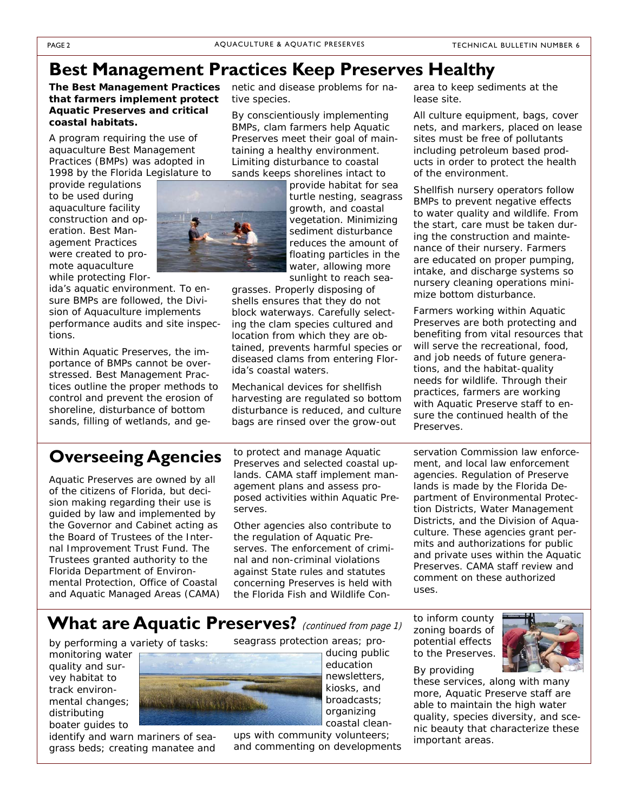### **Best Management Practices Keep Preserves Healthy**

#### *The Best Management Practices that farmers implement protect Aquatic Preserves and critical coastal habitats.*

A program requiring the use of aquaculture Best Management Practices (BMPs) was adopted in 1998 by the Florida Legislature to

provide regulations to be used during aquaculture facility construction and operation. Best Management Practices were created to promote aquaculture while protecting Flor-

ida's aquatic environment. To ensure BMPs are followed, the Division of Aquaculture implements performance audits and site inspections.

Within Aquatic Preserves, the importance of BMPs cannot be overstressed. Best Management Practices outline the proper methods to control and prevent the erosion of shoreline, disturbance of bottom sands, filling of wetlands, and genetic and disease problems for native species.

By conscientiously implementing BMPs, clam farmers help Aquatic Preserves meet their goal of maintaining a healthy environment. Limiting disturbance to coastal sands keeps shorelines intact to

> provide habitat for sea turtle nesting, seagrass growth, and coastal vegetation. Minimizing sediment disturbance reduces the amount of floating particles in the water, allowing more sunlight to reach sea-

grasses. Properly disposing of shells ensures that they do not block waterways. Carefully selecting the clam species cultured and location from which they are obtained, prevents harmful species or diseased clams from entering Florida's coastal waters.

Mechanical devices for shellfish harvesting are regulated so bottom disturbance is reduced, and culture bags are rinsed over the grow-out

### **Overseeing Agencies**

Aquatic Preserves are owned by all of the citizens of Florida, but decision making regarding their use is guided by law and implemented by the Governor and Cabinet acting as the Board of Trustees of the Internal Improvement Trust Fund. The Trustees granted authority to the Florida Department of Environmental Protection, Office of Coastal and Aquatic Managed Areas (CAMA)

to protect and manage Aquatic Preserves and selected coastal uplands. CAMA staff implement management plans and assess proposed activities within Aquatic Preserves.

Other agencies also contribute to the regulation of Aquatic Preserves. The enforcement of criminal and non-criminal violations against State rules and statutes concerning Preserves is held with the Florida Fish and Wildlife Con-

area to keep sediments at the lease site.

All culture equipment, bags, cover nets, and markers, placed on lease sites must be free of pollutants including petroleum based products in order to protect the health of the environment.

Shellfish nursery operators follow BMPs to prevent negative effects to water quality and wildlife. From the start, care must be taken during the construction and maintenance of their nursery. Farmers are educated on proper pumping, intake, and discharge systems so nursery cleaning operations minimize bottom disturbance.

Farmers working within Aquatic Preserves are both protecting and benefiting from vital resources that will serve the recreational, food, and job needs of future generations, and the habitat-quality needs for wildlife. Through their practices, farmers are working with Aquatic Preserve staff to ensure the continued health of the Preserves.

servation Commission law enforcement, and local law enforcement agencies. Regulation of Preserve lands is made by the Florida Department of Environmental Protection Districts, Water Management Districts, and the Division of Aquaculture. These agencies grant permits and authorizations for public and private uses within the Aquatic Preserves. CAMA staff review and comment on these authorized uses.

### What are Aquatic Preserves? (continued from page 1)

by performing a variety of tasks:

monitoring water quality and survey habitat to track environmental changes; distributing boater guides to

identify and warn mariners of seagrass beds; creating manatee and



education newsletters, kiosks, and broadcasts; organizing coastal clean-

ups with community volunteers; and commenting on developments

to inform county zoning boards of potential effects to the Preserves.



By providing these services, along with many more, Aquatic Preserve staff are able to maintain the high water quality, species diversity, and scenic beauty that characterize these important areas.

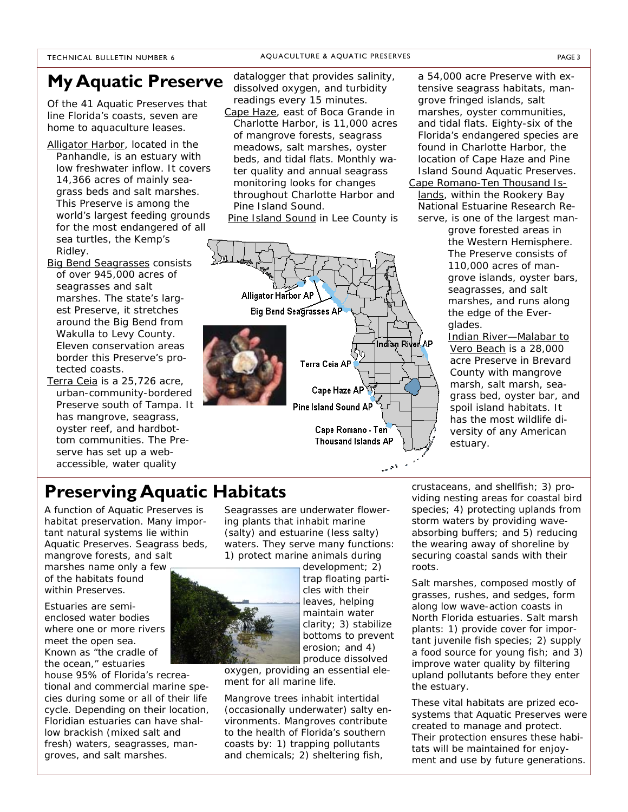#### TECHNICAL BULLETIN NUMBER 6 AQUACULTURE & AQUATIC PRESERVES PAGE 3

### **My Aquatic Preserve**

Of the 41 Aquatic Preserves that line Florida's coasts, seven are home to aquaculture leases.

- Alligator Harbor, located in the Panhandle, is an estuary with low freshwater inflow. It covers 14,366 acres of mainly seagrass beds and salt marshes. This Preserve is among the world's largest feeding grounds for the most endangered of all sea turtles, the Kemp's Ridley.
- Big Bend Seagrasses consists of over 945,000 acres of seagrasses and salt marshes. The state's largest Preserve, it stretches around the Big Bend from Wakulla to Levy County. Eleven conservation areas border this Preserve's protected coasts.
- Terra Ceia is a 25,726 acre, urban-community-bordered Preserve south of Tampa. It has mangrove, seagrass, oyster reef, and hardbottom communities. The Preserve has set up a webaccessible, water quality

datalogger that provides salinity, dissolved oxygen, and turbidity readings every 15 minutes.

Cape Haze, east of Boca Grande in Charlotte Harbor, is 11,000 acres of mangrove forests, seagrass meadows, salt marshes, oyster beds, and tidal flats. Monthly water quality and annual seagrass monitoring looks for changes throughout Charlotte Harbor and Pine Island Sound.

Pine Island Sound in Lee County is



a 54,000 acre Preserve with extensive seagrass habitats, mangrove fringed islands, salt marshes, oyster communities, and tidal flats. Eighty-six of the Florida's endangered species are found in Charlotte Harbor, the location of Cape Haze and Pine Island Sound Aquatic Preserves.

Cape Romano-Ten Thousand Islands, within the Rookery Bay National Estuarine Research Reserve, is one of the largest man-

grove forested areas in the Western Hemisphere. The Preserve consists of 110,000 acres of mangrove islands, oyster bars, seagrasses, and salt marshes, and runs along the edge of the Everglades.

Indian River—Malabar to Vero Beach is a 28,000 acre Preserve in Brevard County with mangrove marsh, salt marsh, seagrass bed, oyster bar, and spoil island habitats. It has the most wildlife diversity of any American estuary.

### **Preserving Aquatic Habitats**

A function of Aquatic Preserves is habitat preservation. Many important natural systems lie within Aquatic Preserves. Seagrass beds, mangrove forests, and salt

marshes name only a few of the habitats found within Preserves.

Estuaries are semienclosed water bodies where one or more rivers meet the open sea. Known as "the cradle of the ocean," estuaries

house 95% of Florida's recreational and commercial marine species during some or all of their life cycle. Depending on their location, Floridian estuaries can have shallow brackish (mixed salt and fresh) waters, seagrasses, mangroves, and salt marshes.

Seagrasses are underwater flowering plants that inhabit marine (salty) and estuarine (less salty) waters. They serve many functions: 1) protect marine animals during



development; 2) trap floating particles with their leaves, helping maintain water clarity; 3) stabilize bottoms to prevent erosion; and 4) produce dissolved

oxygen, providing an essential element for all marine life.

Mangrove trees inhabit intertidal (occasionally underwater) salty environments. Mangroves contribute to the health of Florida's southern coasts by: 1) trapping pollutants and chemicals; 2) sheltering fish,

crustaceans, and shellfish; 3) providing nesting areas for coastal bird species; 4) protecting uplands from storm waters by providing waveabsorbing buffers; and 5) reducing the wearing away of shoreline by securing coastal sands with their roots.

Salt marshes, composed mostly of grasses, rushes, and sedges, form along low wave-action coasts in North Florida estuaries. Salt marsh plants: 1) provide cover for important juvenile fish species; 2) supply a food source for young fish; and 3) improve water quality by filtering upland pollutants before they enter the estuary.

These vital habitats are prized ecosystems that Aquatic Preserves were created to manage and protect. Their protection ensures these habitats will be maintained for enjoyment and use by future generations.